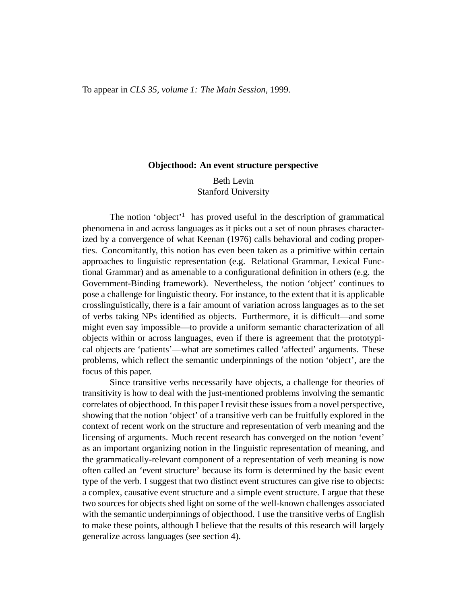#### **Objecthood: An event structure perspective**

# Beth Levin Stanford University

The notion 'object'<sup>1</sup> has proved useful in the description of grammatical phenomena in and across languages as it picks out a set of noun phrases characterized by a convergence of what Keenan (1976) calls behavioral and coding properties. Concomitantly, this notion has even been taken as a primitive within certain approaches to linguistic representation (e.g. Relational Grammar, Lexical Functional Grammar) and as amenable to a configurational definition in others (e.g. the Government-Binding framework). Nevertheless, the notion 'object' continues to pose a challenge for linguistic theory. For instance, to the extent that it is applicable crosslinguistically, there is a fair amount of variation across languages as to the set of verbs taking NPs identified as objects. Furthermore, it is difficult—and some might even say impossible—to provide a uniform semantic characterization of all objects within or across languages, even if there is agreement that the prototypical objects are 'patients'—what are sometimes called 'affected' arguments. These problems, which reflect the semantic underpinnings of the notion 'object', are the focus of this paper.

Since transitive verbs necessarily have objects, a challenge for theories of transitivity is how to deal with the just-mentioned problems involving the semantic correlates of objecthood. In this paper I revisit these issues from a novel perspective, showing that the notion 'object' of a transitive verb can be fruitfully explored in the context of recent work on the structure and representation of verb meaning and the licensing of arguments. Much recent research has converged on the notion 'event' as an important organizing notion in the linguistic representation of meaning, and the grammatically-relevant component of a representation of verb meaning is now often called an 'event structure' because its form is determined by the basic event type of the verb. I suggest that two distinct event structures can give rise to objects: a complex, causative event structure and a simple event structure. I argue that these two sources for objects shed light on some of the well-known challenges associated with the semantic underpinnings of objecthood. I use the transitive verbs of English to make these points, although I believe that the results of this research will largely generalize across languages (see section 4).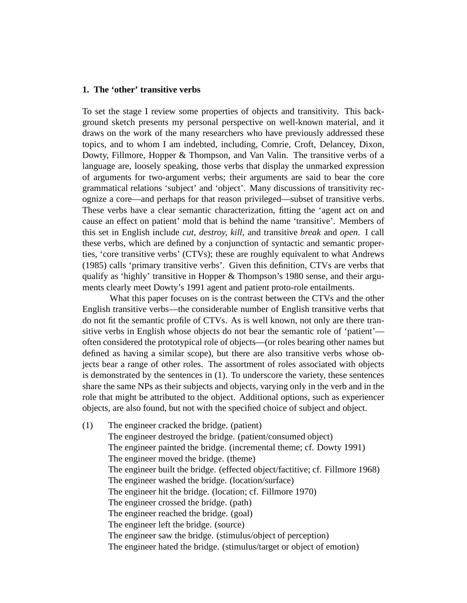#### **1. The 'other' transitive verbs**

To set the stage I review some properties of objects and transitivity. This background sketch presents my personal perspective on well-known material, and it draws on the work of the many researchers who have previously addressed these topics, and to whom I am indebted, including, Comrie, Croft, Delancey, Dixon, Dowty, Fillmore, Hopper & Thompson, and Van Valin. The transitive verbs of a language are, loosely speaking, those verbs that display the unmarked expression of arguments for two-argument verbs; their arguments are said to bear the core grammatical relations 'subject' and 'object'. Many discussions of transitivity recognize a core—and perhaps for that reason privileged—subset of transitive verbs. These verbs have a clear semantic characterization, fitting the 'agent act on and cause an effect on patient' mold that is behind the name 'transitive'. Members of this set in English include *cut, destroy, kill*, and transitive *break* and *open*. I call these verbs, which are defined by a conjunction of syntactic and semantic properties, 'core transitive verbs' (CTVs); these are roughly equivalent to what Andrews (1985) calls 'primary transitive verbs'. Given this definition, CTVs are verbs that qualify as 'highly' transitive in Hopper & Thompson's 1980 sense, and their arguments clearly meet Dowty's 1991 agent and patient proto-role entailments.

What this paper focuses on is the contrast between the CTVs and the other English transitive verbs—the considerable number of English transitive verbs that do not fit the semantic profile of CTVs. As is well known, not only are there transitive verbs in English whose objects do not bear the semantic role of 'patient' often considered the prototypical role of objects—(or roles bearing other names but defined as having a similar scope), but there are also transitive verbs whose objects bear a range of other roles. The assortment of roles associated with objects is demonstrated by the sentences in (1). To underscore the variety, these sentences share the same NPs as their subjects and objects, varying only in the verb and in the role that might be attributed to the object. Additional options, such as experiencer objects, are also found, but not with the specified choice of subject and object.

(1) The engineer cracked the bridge. (patient) The engineer destroyed the bridge. (patient/consumed object) The engineer painted the bridge. (incremental theme; cf. Dowty 1991) The engineer moved the bridge. (theme) The engineer built the bridge. (effected object/factitive; cf. Fillmore 1968) The engineer washed the bridge. (location/surface) The engineer hit the bridge. (location; cf. Fillmore 1970) The engineer crossed the bridge. (path) The engineer reached the bridge. (goal) The engineer left the bridge. (source) The engineer saw the bridge. (stimulus/object of perception) The engineer hated the bridge. (stimulus/target or object of emotion)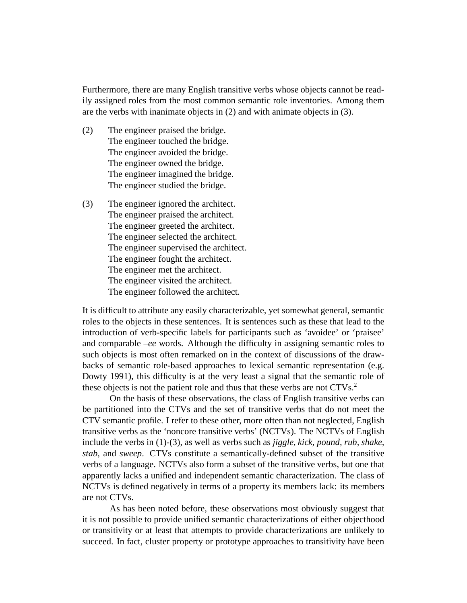Furthermore, there are many English transitive verbs whose objects cannot be readily assigned roles from the most common semantic role inventories. Among them are the verbs with inanimate objects in (2) and with animate objects in (3).

- (2) The engineer praised the bridge. The engineer touched the bridge. The engineer avoided the bridge. The engineer owned the bridge. The engineer imagined the bridge. The engineer studied the bridge.
- (3) The engineer ignored the architect. The engineer praised the architect. The engineer greeted the architect. The engineer selected the architect. The engineer supervised the architect. The engineer fought the architect. The engineer met the architect. The engineer visited the architect. The engineer followed the architect.

It is difficult to attribute any easily characterizable, yet somewhat general, semantic roles to the objects in these sentences. It is sentences such as these that lead to the introduction of verb-specific labels for participants such as 'avoidee' or 'praisee' and comparable –*ee* words. Although the difficulty in assigning semantic roles to such objects is most often remarked on in the context of discussions of the drawbacks of semantic role-based approaches to lexical semantic representation (e.g. Dowty 1991), this difficulty is at the very least a signal that the semantic role of these objects is not the patient role and thus that these verbs are not CTVs.<sup>2</sup>

On the basis of these observations, the class of English transitive verbs can be partitioned into the CTVs and the set of transitive verbs that do not meet the CTV semantic profile. I refer to these other, more often than not neglected, English transitive verbs as the 'noncore transitive verbs' (NCTVs). The NCTVs of English include the verbs in (1)-(3), as well as verbs such as *jiggle, kick, pound, rub, shake, stab*, and *sweep*. CTVs constitute a semantically-defined subset of the transitive verbs of a language. NCTVs also form a subset of the transitive verbs, but one that apparently lacks a unified and independent semantic characterization. The class of NCTVs is defined negatively in terms of a property its members lack: its members are not CTVs.

As has been noted before, these observations most obviously suggest that it is not possible to provide unified semantic characterizations of either objecthood or transitivity or at least that attempts to provide characterizations are unlikely to succeed. In fact, cluster property or prototype approaches to transitivity have been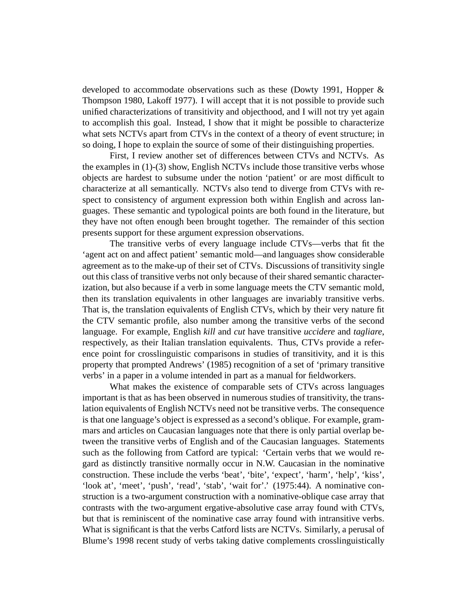developed to accommodate observations such as these (Dowty 1991, Hopper & Thompson 1980, Lakoff 1977). I will accept that it is not possible to provide such unified characterizations of transitivity and objecthood, and I will not try yet again to accomplish this goal. Instead, I show that it might be possible to characterize what sets NCTVs apart from CTVs in the context of a theory of event structure; in so doing, I hope to explain the source of some of their distinguishing properties.

First, I review another set of differences between CTVs and NCTVs. As the examples in (1)-(3) show, English NCTVs include those transitive verbs whose objects are hardest to subsume under the notion 'patient' or are most difficult to characterize at all semantically. NCTVs also tend to diverge from CTVs with respect to consistency of argument expression both within English and across languages. These semantic and typological points are both found in the literature, but they have not often enough been brought together. The remainder of this section presents support for these argument expression observations.

The transitive verbs of every language include CTVs—verbs that fit the 'agent act on and affect patient' semantic mold—and languages show considerable agreement as to the make-up of their set of CTVs. Discussions of transitivity single out this class of transitive verbs not only because of their shared semantic characterization, but also because if a verb in some language meets the CTV semantic mold, then its translation equivalents in other languages are invariably transitive verbs. That is, the translation equivalents of English CTVs, which by their very nature fit the CTV semantic profile, also number among the transitive verbs of the second language. For example, English *kill* and *cut* have transitive *uccidere* and *tagliare*, respectively, as their Italian translation equivalents. Thus, CTVs provide a reference point for crosslinguistic comparisons in studies of transitivity, and it is this property that prompted Andrews' (1985) recognition of a set of 'primary transitive verbs' in a paper in a volume intended in part as a manual for fieldworkers.

What makes the existence of comparable sets of CTVs across languages important is that as has been observed in numerous studies of transitivity, the translation equivalents of English NCTVs need not be transitive verbs. The consequence is that one language's object is expressed as a second's oblique. For example, grammars and articles on Caucasian languages note that there is only partial overlap between the transitive verbs of English and of the Caucasian languages. Statements such as the following from Catford are typical: 'Certain verbs that we would regard as distinctly transitive normally occur in N.W. Caucasian in the nominative construction. These include the verbs 'beat', 'bite', 'expect', 'harm', 'help', 'kiss', 'look at', 'meet', 'push', 'read', 'stab', 'wait for'.' (1975:44). A nominative construction is a two-argument construction with a nominative-oblique case array that contrasts with the two-argument ergative-absolutive case array found with CTVs, but that is reminiscent of the nominative case array found with intransitive verbs. What is significant is that the verbs Catford lists are NCTVs. Similarly, a perusal of Blume's 1998 recent study of verbs taking dative complements crosslinguistically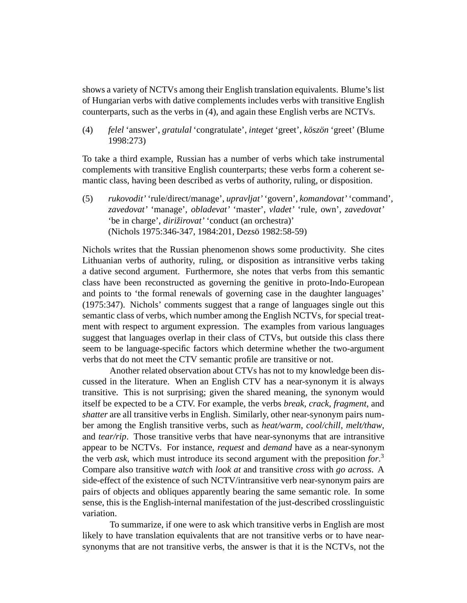shows a variety of NCTVs among their English translation equivalents. Blume's list of Hungarian verbs with dative complements includes verbs with transitive English counterparts, such as the verbs in (4), and again these English verbs are NCTVs.

(4) *felel* 'answer', *gratulal* 'congratulate', *integet* 'greet', *kosz ¨ on¨* 'greet' (Blume 1998:273)

To take a third example, Russian has a number of verbs which take instrumental complements with transitive English counterparts; these verbs form a coherent semantic class, having been described as verbs of authority, ruling, or disposition.

(5) *rukovodit'* 'rule/direct/manage', *upravljat'* 'govern', *komandovat'* 'command', *zavedovat'* 'manage', *obladevat'* 'master', *vladet'* 'rule, own', *zavedovat'* 'be in charge', *dirižirovat'* 'conduct (an orchestra)' (Nichols 1975:346-347, 1984:201, Dezsö 1982:58-59)

Nichols writes that the Russian phenomenon shows some productivity. She cites Lithuanian verbs of authority, ruling, or disposition as intransitive verbs taking a dative second argument. Furthermore, she notes that verbs from this semantic class have been reconstructed as governing the genitive in proto-Indo-European and points to 'the formal renewals of governing case in the daughter languages' (1975:347). Nichols' comments suggest that a range of languages single out this semantic class of verbs, which number among the English NCTVs, for special treatment with respect to argument expression. The examples from various languages suggest that languages overlap in their class of CTVs, but outside this class there seem to be language-specific factors which determine whether the two-argument verbs that do not meet the CTV semantic profile are transitive or not.

Another related observation about CTVs has not to my knowledge been discussed in the literature. When an English CTV has a near-synonym it is always transitive. This is not surprising; given the shared meaning, the synonym would itself be expected to be a CTV. For example, the verbs *break, crack, fragment*, and *shatter* are all transitive verbs in English. Similarly, other near-synonym pairs number among the English transitive verbs, such as *heat/warm*, *cool/chill*, *melt/thaw*, and *tear/rip*. Those transitive verbs that have near-synonyms that are intransitive appear to be NCTVs. For instance, *request* and *demand* have as a near-synonym the verb *ask*, which must introduce its second argument with the preposition *for*. 3 Compare also transitive *watch* with *look at* and transitive *cross* with *go across*. A side-effect of the existence of such NCTV/intransitive verb near-synonym pairs are pairs of objects and obliques apparently bearing the same semantic role. In some sense, this is the English-internal manifestation of the just-described crosslinguistic variation.

To summarize, if one were to ask which transitive verbs in English are most likely to have translation equivalents that are not transitive verbs or to have nearsynonyms that are not transitive verbs, the answer is that it is the NCTVs, not the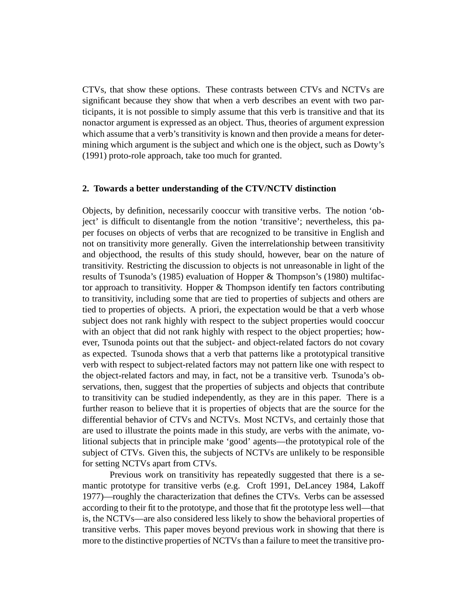CTVs, that show these options. These contrasts between CTVs and NCTVs are significant because they show that when a verb describes an event with two participants, it is not possible to simply assume that this verb is transitive and that its nonactor argument is expressed as an object. Thus, theories of argument expression which assume that a verb's transitivity is known and then provide a means for determining which argument is the subject and which one is the object, such as Dowty's (1991) proto-role approach, take too much for granted.

#### **2. Towards a better understanding of the CTV/NCTV distinction**

Objects, by definition, necessarily cooccur with transitive verbs. The notion 'object' is difficult to disentangle from the notion 'transitive'; nevertheless, this paper focuses on objects of verbs that are recognized to be transitive in English and not on transitivity more generally. Given the interrelationship between transitivity and objecthood, the results of this study should, however, bear on the nature of transitivity. Restricting the discussion to objects is not unreasonable in light of the results of Tsunoda's (1985) evaluation of Hopper & Thompson's (1980) multifactor approach to transitivity. Hopper & Thompson identify ten factors contributing to transitivity, including some that are tied to properties of subjects and others are tied to properties of objects. A priori, the expectation would be that a verb whose subject does not rank highly with respect to the subject properties would cooccur with an object that did not rank highly with respect to the object properties; however, Tsunoda points out that the subject- and object-related factors do not covary as expected. Tsunoda shows that a verb that patterns like a prototypical transitive verb with respect to subject-related factors may not pattern like one with respect to the object-related factors and may, in fact, not be a transitive verb. Tsunoda's observations, then, suggest that the properties of subjects and objects that contribute to transitivity can be studied independently, as they are in this paper. There is a further reason to believe that it is properties of objects that are the source for the differential behavior of CTVs and NCTVs. Most NCTVs, and certainly those that are used to illustrate the points made in this study, are verbs with the animate, volitional subjects that in principle make 'good' agents—the prototypical role of the subject of CTVs. Given this, the subjects of NCTVs are unlikely to be responsible for setting NCTVs apart from CTVs.

Previous work on transitivity has repeatedly suggested that there is a semantic prototype for transitive verbs (e.g. Croft 1991, DeLancey 1984, Lakoff 1977)—roughly the characterization that defines the CTVs. Verbs can be assessed according to their fit to the prototype, and those that fit the prototype less well—that is, the NCTVs—are also considered less likely to show the behavioral properties of transitive verbs. This paper moves beyond previous work in showing that there is more to the distinctive properties of NCTVs than a failure to meet the transitive pro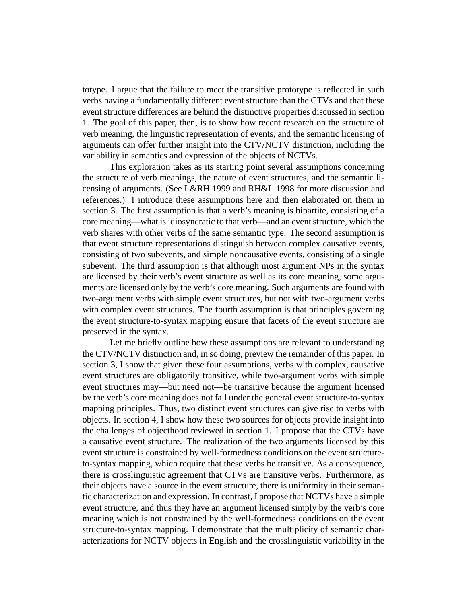totype. I argue that the failure to meet the transitive prototype is reflected in such verbs having a fundamentally different event structure than the CTVs and that these event structure differences are behind the distinctive properties discussed in section 1. The goal of this paper, then, is to show how recent research on the structure of verb meaning, the linguistic representation of events, and the semantic licensing of arguments can offer further insight into the CTV/NCTV distinction, including the variability in semantics and expression of the objects of NCTVs.

This exploration takes as its starting point several assumptions concerning the structure of verb meanings, the nature of event structures, and the semantic licensing of arguments. (See L&RH 1999 and RH&L 1998 for more discussion and references.) I introduce these assumptions here and then elaborated on them in section 3. The first assumption is that a verb's meaning is bipartite, consisting of a core meaning—what is idiosyncratic to that verb—and an event structure, which the verb shares with other verbs of the same semantic type. The second assumption is that event structure representations distinguish between complex causative events, consisting of two subevents, and simple noncausative events, consisting of a single subevent. The third assumption is that although most argument NPs in the syntax are licensed by their verb's event structure as well as its core meaning, some arguments are licensed only by the verb's core meaning. Such arguments are found with two-argument verbs with simple event structures, but not with two-argument verbs with complex event structures. The fourth assumption is that principles governing the event structure-to-syntax mapping ensure that facets of the event structure are preserved in the syntax.

Let me briefly outline how these assumptions are relevant to understanding the CTV/NCTV distinction and, in so doing, preview the remainder of this paper. In section 3, I show that given these four assumptions, verbs with complex, causative event structures are obligatorily transitive, while two-argument verbs with simple event structures may—but need not—be transitive because the argument licensed by the verb's core meaning does not fall under the general event structure-to-syntax mapping principles. Thus, two distinct event structures can give rise to verbs with objects. In section 4, I show how these two sources for objects provide insight into the challenges of objecthood reviewed in section 1. I propose that the CTVs have a causative event structure. The realization of the two arguments licensed by this event structure is constrained by well-formedness conditions on the event structureto-syntax mapping, which require that these verbs be transitive. As a consequence, there is crosslinguistic agreement that CTVs are transitive verbs. Furthermore, as their objects have a source in the event structure, there is uniformity in their semantic characterization and expression. In contrast, I propose that NCTVs have a simple event structure, and thus they have an argument licensed simply by the verb's core meaning which is not constrained by the well-formedness conditions on the event structure-to-syntax mapping. I demonstrate that the multiplicity of semantic characterizations for NCTV objects in English and the crosslinguistic variability in the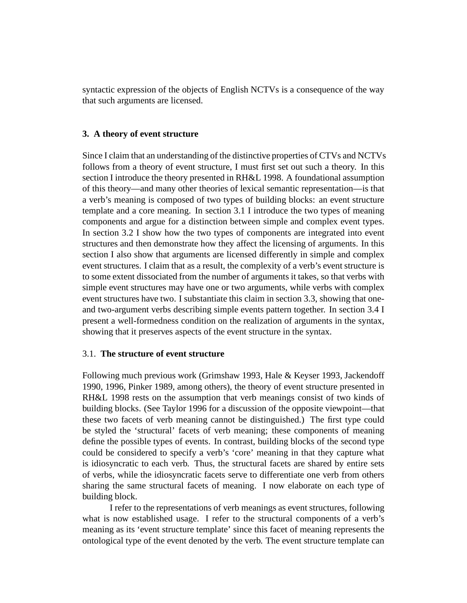syntactic expression of the objects of English NCTVs is a consequence of the way that such arguments are licensed.

# **3. A theory of event structure**

Since I claim that an understanding of the distinctive properties of CTVs and NCTVs follows from a theory of event structure, I must first set out such a theory. In this section I introduce the theory presented in RH&L 1998. A foundational assumption of this theory—and many other theories of lexical semantic representation—is that a verb's meaning is composed of two types of building blocks: an event structure template and a core meaning. In section 3.1 I introduce the two types of meaning components and argue for a distinction between simple and complex event types. In section 3.2 I show how the two types of components are integrated into event structures and then demonstrate how they affect the licensing of arguments. In this section I also show that arguments are licensed differently in simple and complex event structures. I claim that as a result, the complexity of a verb's event structure is to some extent dissociated from the number of arguments it takes, so that verbs with simple event structures may have one or two arguments, while verbs with complex event structures have two. I substantiate this claim in section 3.3, showing that oneand two-argument verbs describing simple events pattern together. In section 3.4 I present a well-formedness condition on the realization of arguments in the syntax, showing that it preserves aspects of the event structure in the syntax.

## 3.1. **The structure of event structure**

Following much previous work (Grimshaw 1993, Hale & Keyser 1993, Jackendoff 1990, 1996, Pinker 1989, among others), the theory of event structure presented in RH&L 1998 rests on the assumption that verb meanings consist of two kinds of building blocks. (See Taylor 1996 for a discussion of the opposite viewpoint—that these two facets of verb meaning cannot be distinguished.) The first type could be styled the 'structural' facets of verb meaning; these components of meaning define the possible types of events. In contrast, building blocks of the second type could be considered to specify a verb's 'core' meaning in that they capture what is idiosyncratic to each verb. Thus, the structural facets are shared by entire sets of verbs, while the idiosyncratic facets serve to differentiate one verb from others sharing the same structural facets of meaning. I now elaborate on each type of building block.

I refer to the representations of verb meanings as event structures, following what is now established usage. I refer to the structural components of a verb's meaning as its 'event structure template' since this facet of meaning represents the ontological type of the event denoted by the verb. The event structure template can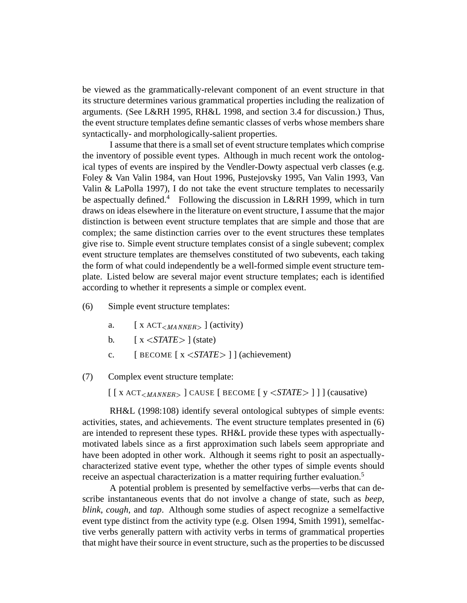be viewed as the grammatically-relevant component of an event structure in that its structure determines various grammatical properties including the realization of arguments. (See L&RH 1995, RH&L 1998, and section 3.4 for discussion.) Thus, the event structure templates define semantic classes of verbs whose members share syntactically- and morphologically-salient properties.

I assume that there is a small set of event structure templates which comprise the inventory of possible event types. Although in much recent work the ontological types of events are inspired by the Vendler-Dowty aspectual verb classes (e.g. Foley & Van Valin 1984, van Hout 1996, Pustejovsky 1995, Van Valin 1993, Van Valin & LaPolla 1997), I do not take the event structure templates to necessarily be aspectually defined.<sup>4</sup> Following the discussion in L&RH 1999, which in turn draws on ideas elsewhere in the literature on event structure, I assume that the major distinction is between event structure templates that are simple and those that are complex; the same distinction carries over to the event structures these templates give rise to. Simple event structure templates consist of a single subevent; complex event structure templates are themselves constituted of two subevents, each taking the form of what could independently be a well-formed simple event structure template. Listed below are several major event structure templates; each is identified according to whether it represents a simple or complex event.

- (6) Simple event structure templates:
	- a.  $[X \text{ ACT}_{\leq MANNER>}]$  (activity)
	- b.  $\left[ x \leq \text{STATE} > \right]$  (state)
	- c.  $[$  **BECOME**  $\begin{bmatrix} x < \text{STATE} \\ \end{bmatrix}$  (achievement)

(7) Complex event structure template:

 $\left[ \begin{array}{c} \left[ \begin{array}{c} x \, ACT_{\leq MANNER} \end{array} \right] \end{array} \right]$  CAUSE  $\left[ \begin{array}{c} \text{BECOME} \end{array} \right] \text{y} \leq \text{STATE} > \left[ \begin{array}{c} \end{array} \right] \right]$  (causative)

RH&L (1998:108) identify several ontological subtypes of simple events: activities, states, and achievements. The event structure templates presented in (6) are intended to represent these types. RH&L provide these types with aspectuallymotivated labels since as a first approximation such labels seem appropriate and have been adopted in other work. Although it seems right to posit an aspectuallycharacterized stative event type, whether the other types of simple events should receive an aspectual characterization is a matter requiring further evaluation.<sup>5</sup>

A potential problem is presented by semelfactive verbs—verbs that can describe instantaneous events that do not involve a change of state, such as *beep*, *blink*, *cough*, and *tap*. Although some studies of aspect recognize a semelfactive event type distinct from the activity type (e.g. Olsen 1994, Smith 1991), semelfactive verbs generally pattern with activity verbs in terms of grammatical properties that might have their source in event structure, such as the properties to be discussed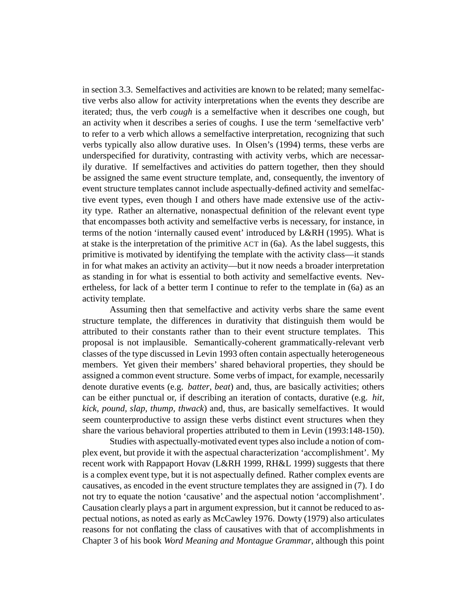in section 3.3. Semelfactives and activities are known to be related; many semelfactive verbs also allow for activity interpretations when the events they describe are iterated; thus, the verb *cough* is a semelfactive when it describes one cough, but an activity when it describes a series of coughs. I use the term 'semelfactive verb' to refer to a verb which allows a semelfactive interpretation, recognizing that such verbs typically also allow durative uses. In Olsen's (1994) terms, these verbs are underspecified for durativity, contrasting with activity verbs, which are necessarily durative. If semelfactives and activities do pattern together, then they should be assigned the same event structure template, and, consequently, the inventory of event structure templates cannot include aspectually-defined activity and semelfactive event types, even though I and others have made extensive use of the activity type. Rather an alternative, nonaspectual definition of the relevant event type that encompasses both activity and semelfactive verbs is necessary, for instance, in terms of the notion 'internally caused event' introduced by L&RH (1995). What is at stake is the interpretation of the primitive ACT in (6a). As the label suggests, this primitive is motivated by identifying the template with the activity class—it stands in for what makes an activity an activity—but it now needs a broader interpretation as standing in for what is essential to both activity and semelfactive events. Nevertheless, for lack of a better term I continue to refer to the template in (6a) as an activity template.

Assuming then that semelfactive and activity verbs share the same event structure template, the differences in durativity that distinguish them would be attributed to their constants rather than to their event structure templates. This proposal is not implausible. Semantically-coherent grammatically-relevant verb classes of the type discussed in Levin 1993 often contain aspectually heterogeneous members. Yet given their members' shared behavioral properties, they should be assigned a common event structure. Some verbs of impact, for example, necessarily denote durative events (e.g. *batter*, *beat*) and, thus, are basically activities; others can be either punctual or, if describing an iteration of contacts, durative (e.g. *hit, kick, pound, slap, thump, thwack*) and, thus, are basically semelfactives. It would seem counterproductive to assign these verbs distinct event structures when they share the various behavioral properties attributed to them in Levin (1993:148-150).

Studies with aspectually-motivated event types also include a notion of complex event, but provide it with the aspectual characterization 'accomplishment'. My recent work with Rappaport Hovav (L&RH 1999, RH&L 1999) suggests that there is a complex event type, but it is not aspectually defined. Rather complex events are causatives, as encoded in the event structure templates they are assigned in (7). I do not try to equate the notion 'causative' and the aspectual notion 'accomplishment'. Causation clearly plays a part in argument expression, but it cannot be reduced to aspectual notions, as noted as early as McCawley 1976. Dowty (1979) also articulates reasons for not conflating the class of causatives with that of accomplishments in Chapter 3 of his book *Word Meaning and Montague Grammar*, although this point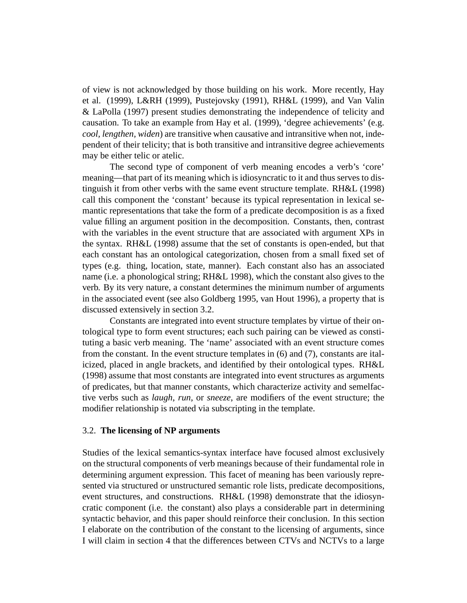of view is not acknowledged by those building on his work. More recently, Hay et al. (1999), L&RH (1999), Pustejovsky (1991), RH&L (1999), and Van Valin & LaPolla (1997) present studies demonstrating the independence of telicity and causation. To take an example from Hay et al. (1999), 'degree achievements' (e.g. *cool, lengthen, widen*) are transitive when causative and intransitive when not, independent of their telicity; that is both transitive and intransitive degree achievements may be either telic or atelic.

The second type of component of verb meaning encodes a verb's 'core' meaning—that part of its meaning which is idiosyncratic to it and thus serves to distinguish it from other verbs with the same event structure template. RH&L (1998) call this component the 'constant' because its typical representation in lexical semantic representations that take the form of a predicate decomposition is as a fixed value filling an argument position in the decomposition. Constants, then, contrast with the variables in the event structure that are associated with argument XPs in the syntax. RH&L (1998) assume that the set of constants is open-ended, but that each constant has an ontological categorization, chosen from a small fixed set of types (e.g. thing, location, state, manner). Each constant also has an associated name (i.e. a phonological string; RH&L 1998), which the constant also gives to the verb. By its very nature, a constant determines the minimum number of arguments in the associated event (see also Goldberg 1995, van Hout 1996), a property that is discussed extensively in section 3.2.

Constants are integrated into event structure templates by virtue of their ontological type to form event structures; each such pairing can be viewed as constituting a basic verb meaning. The 'name' associated with an event structure comes from the constant. In the event structure templates in (6) and (7), constants are italicized, placed in angle brackets, and identified by their ontological types. RH&L (1998) assume that most constants are integrated into event structures as arguments of predicates, but that manner constants, which characterize activity and semelfactive verbs such as *laugh*, *run*, or *sneeze*, are modifiers of the event structure; the modifier relationship is notated via subscripting in the template.

#### 3.2. **The licensing of NP arguments**

Studies of the lexical semantics-syntax interface have focused almost exclusively on the structural components of verb meanings because of their fundamental role in determining argument expression. This facet of meaning has been variously represented via structured or unstructured semantic role lists, predicate decompositions, event structures, and constructions. RH&L (1998) demonstrate that the idiosyncratic component (i.e. the constant) also plays a considerable part in determining syntactic behavior, and this paper should reinforce their conclusion. In this section I elaborate on the contribution of the constant to the licensing of arguments, since I will claim in section 4 that the differences between CTVs and NCTVs to a large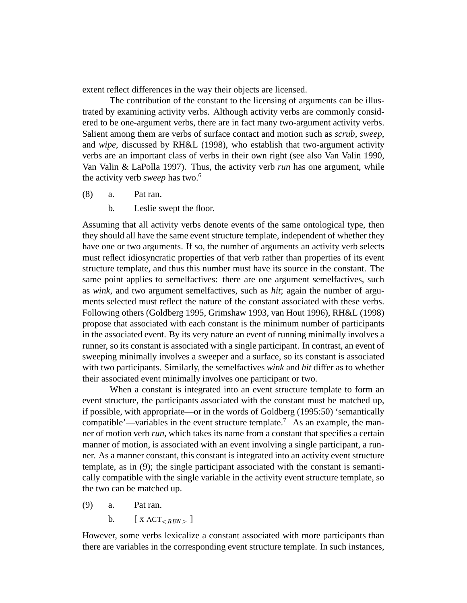extent reflect differences in the way their objects are licensed.

The contribution of the constant to the licensing of arguments can be illustrated by examining activity verbs. Although activity verbs are commonly considered to be one-argument verbs, there are in fact many two-argument activity verbs. Salient among them are verbs of surface contact and motion such as *scrub*, *sweep*, and *wipe*, discussed by RH&L (1998), who establish that two-argument activity verbs are an important class of verbs in their own right (see also Van Valin 1990, Van Valin & LaPolla 1997). Thus, the activity verb *run* has one argument, while the activity verb *sweep* has two.<sup>6</sup>

- (8) a. Pat ran.
	- b. Leslie swept the floor.

Assuming that all activity verbs denote events of the same ontological type, then they should all have the same event structure template, independent of whether they have one or two arguments. If so, the number of arguments an activity verb selects must reflect idiosyncratic properties of that verb rather than properties of its event structure template, and thus this number must have its source in the constant. The same point applies to semelfactives: there are one argument semelfactives, such as *wink*, and two argument semelfactives, such as *hit*; again the number of arguments selected must reflect the nature of the constant associated with these verbs. Following others (Goldberg 1995, Grimshaw 1993, van Hout 1996), RH&L (1998) propose that associated with each constant is the minimum number of participants in the associated event. By its very nature an event of running minimally involves a runner, so its constant is associated with a single participant. In contrast, an event of sweeping minimally involves a sweeper and a surface, so its constant is associated with two participants. Similarly, the semelfactives *wink* and *hit* differ as to whether their associated event minimally involves one participant or two.

When a constant is integrated into an event structure template to form an event structure, the participants associated with the constant must be matched up, if possible, with appropriate—or in the words of Goldberg (1995:50) 'semantically compatible'—variables in the event structure template.<sup>7</sup> As an example, the manner of motion verb *run*, which takes its name from a constant that specifies a certain manner of motion, is associated with an event involving a single participant, a runner. As a manner constant, this constant is integrated into an activity event structure template, as in (9); the single participant associated with the constant is semantically compatible with the single variable in the activity event structure template, so the two can be matched up.

- (9) a. Pat ran.
	- b.  $[X \text{ ACT}_{\leq RUN}]\$

However, some verbs lexicalize a constant associated with more participants than there are variables in the corresponding event structure template. In such instances,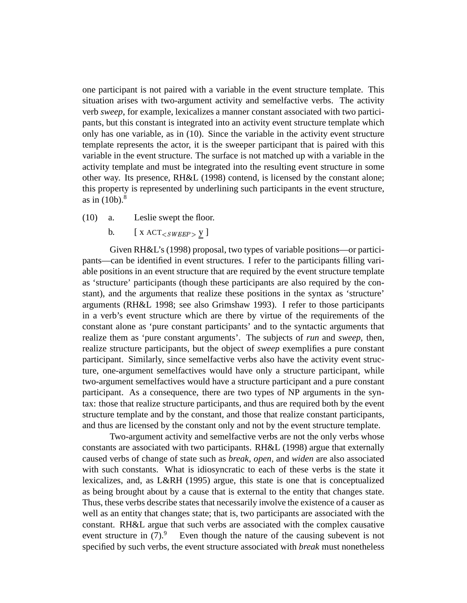one participant is not paired with a variable in the event structure template. This situation arises with two-argument activity and semelfactive verbs. The activity verb *sweep*, for example, lexicalizes a manner constant associated with two participants, but this constant is integrated into an activity event structure template which only has one variable, as in (10). Since the variable in the activity event structure template represents the actor, it is the sweeper participant that is paired with this variable in the event structure. The surface is not matched up with a variable in the activity template and must be integrated into the resulting event structure in some other way. Its presence, RH&L (1998) contend, is licensed by the constant alone; this property is represented by underlining such participants in the event structure, as in  $(10b)$ .<sup>8</sup>

- (10) a. Leslie swept the floor.
	- b.  $[X \text{ ACT}_{\leq \text{SWEEP}} > Y]$

Given RH&L's (1998) proposal, two types of variable positions—or participants—can be identified in event structures. I refer to the participants filling variable positions in an event structure that are required by the event structure template as 'structure' participants (though these participants are also required by the constant), and the arguments that realize these positions in the syntax as 'structure' arguments (RH&L 1998; see also Grimshaw 1993). I refer to those participants in a verb's event structure which are there by virtue of the requirements of the constant alone as 'pure constant participants' and to the syntactic arguments that realize them as 'pure constant arguments'. The subjects of *run* and *sweep*, then, realize structure participants, but the object of *sweep* exemplifies a pure constant participant. Similarly, since semelfactive verbs also have the activity event structure, one-argument semelfactives would have only a structure participant, while two-argument semelfactives would have a structure participant and a pure constant participant. As a consequence, there are two types of NP arguments in the syntax: those that realize structure participants, and thus are required both by the event structure template and by the constant, and those that realize constant participants, and thus are licensed by the constant only and not by the event structure template.

Two-argument activity and semelfactive verbs are not the only verbs whose constants are associated with two participants. RH&L (1998) argue that externally caused verbs of change of state such as *break, open,* and *widen* are also associated with such constants. What is idiosyncratic to each of these verbs is the state it lexicalizes, and, as L&RH (1995) argue, this state is one that is conceptualized as being brought about by a cause that is external to the entity that changes state. Thus, these verbs describe states that necessarily involve the existence of a causer as well as an entity that changes state; that is, two participants are associated with the constant. RH&L argue that such verbs are associated with the complex causative event structure in  $(7)$ .<sup>9</sup> Even though the nature of the causing subevent is not specified by such verbs, the event structure associated with *break* must nonetheless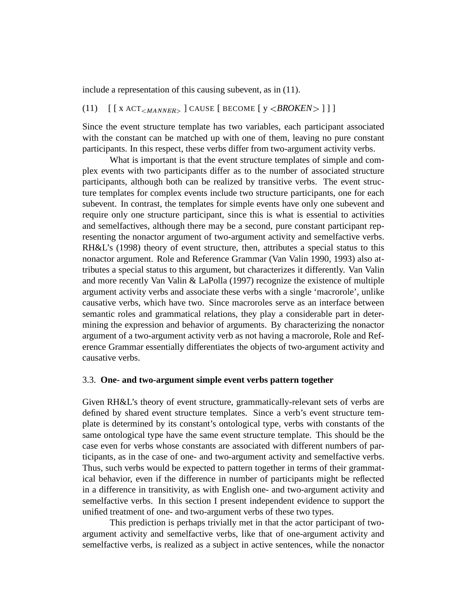include a representation of this causing subevent, as in (11).

# (11)  $\left[ \left[ \right]$  x ACT<sub><MANNER></sub>  $\left]$  CAUSE  $\left[ \right]$  BECOME  $\left[ \right]$  y <BROKEN>  $\left]$  1

Since the event structure template has two variables, each participant associated with the constant can be matched up with one of them, leaving no pure constant participants. In this respect, these verbs differ from two-argument activity verbs.

What is important is that the event structure templates of simple and complex events with two participants differ as to the number of associated structure participants, although both can be realized by transitive verbs. The event structure templates for complex events include two structure participants, one for each subevent. In contrast, the templates for simple events have only one subevent and require only one structure participant, since this is what is essential to activities and semelfactives, although there may be a second, pure constant participant representing the nonactor argument of two-argument activity and semelfactive verbs. RH&L's (1998) theory of event structure, then, attributes a special status to this nonactor argument. Role and Reference Grammar (Van Valin 1990, 1993) also attributes a special status to this argument, but characterizes it differently. Van Valin and more recently Van Valin & LaPolla (1997) recognize the existence of multiple argument activity verbs and associate these verbs with a single 'macrorole', unlike causative verbs, which have two. Since macroroles serve as an interface between semantic roles and grammatical relations, they play a considerable part in determining the expression and behavior of arguments. By characterizing the nonactor argument of a two-argument activity verb as not having a macrorole, Role and Reference Grammar essentially differentiates the objects of two-argument activity and causative verbs.

#### 3.3. **One- and two-argument simple event verbs pattern together**

Given RH&L's theory of event structure, grammatically-relevant sets of verbs are defined by shared event structure templates. Since a verb's event structure template is determined by its constant's ontological type, verbs with constants of the same ontological type have the same event structure template. This should be the case even for verbs whose constants are associated with different numbers of participants, as in the case of one- and two-argument activity and semelfactive verbs. Thus, such verbs would be expected to pattern together in terms of their grammatical behavior, even if the difference in number of participants might be reflected in a difference in transitivity, as with English one- and two-argument activity and semelfactive verbs. In this section I present independent evidence to support the unified treatment of one- and two-argument verbs of these two types.

This prediction is perhaps trivially met in that the actor participant of twoargument activity and semelfactive verbs, like that of one-argument activity and semelfactive verbs, is realized as a subject in active sentences, while the nonactor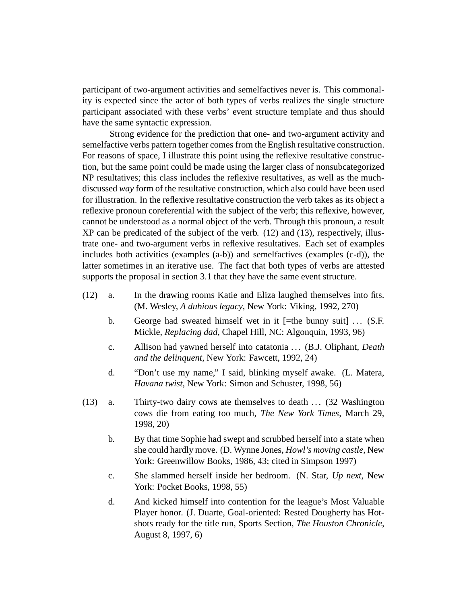participant of two-argument activities and semelfactives never is. This commonality is expected since the actor of both types of verbs realizes the single structure participant associated with these verbs' event structure template and thus should have the same syntactic expression.

Strong evidence for the prediction that one- and two-argument activity and semelfactive verbs pattern together comes from the English resultative construction. For reasons of space, I illustrate this point using the reflexive resultative construction, but the same point could be made using the larger class of nonsubcategorized NP resultatives; this class includes the reflexive resultatives, as well as the muchdiscussed *way* form of the resultative construction, which also could have been used for illustration. In the reflexive resultative construction the verb takes as its object a reflexive pronoun coreferential with the subject of the verb; this reflexive, however, cannot be understood as a normal object of the verb. Through this pronoun, a result XP can be predicated of the subject of the verb. (12) and (13), respectively, illustrate one- and two-argument verbs in reflexive resultatives. Each set of examples includes both activities (examples (a-b)) and semelfactives (examples (c-d)), the latter sometimes in an iterative use. The fact that both types of verbs are attested supports the proposal in section 3.1 that they have the same event structure.

- (12) a. In the drawing rooms Katie and Eliza laughed themselves into fits. (M. Wesley, *A dubious legacy*, New York: Viking, 1992, 270)
	- b. George had sweated himself wet in it  $[=$ the bunny suit] ... (S.F. Mickle, *Replacing dad*, Chapel Hill, NC: Algonquin, 1993, 96)
	- c. Allison had yawned herself into catatonia . . . (B.J. Oliphant, *Death and the delinquent*, New York: Fawcett, 1992, 24)
	- d. "Don't use my name," I said, blinking myself awake. (L. Matera, *Havana twist*, New York: Simon and Schuster, 1998, 56)
- (13) a. Thirty-two dairy cows ate themselves to death  $\ldots$  (32 Washington cows die from eating too much, *The New York Times*, March 29, 1998, 20)
	- b. By that time Sophie had swept and scrubbed herself into a state when she could hardly move. (D. Wynne Jones, *Howl's moving castle*, New York: Greenwillow Books, 1986, 43; cited in Simpson 1997)
	- c. She slammed herself inside her bedroom. (N. Star, *Up next*, New York: Pocket Books, 1998, 55)
	- d. And kicked himself into contention for the league's Most Valuable Player honor. (J. Duarte, Goal-oriented: Rested Dougherty has Hotshots ready for the title run, Sports Section, *The Houston Chronicle*, August 8, 1997, 6)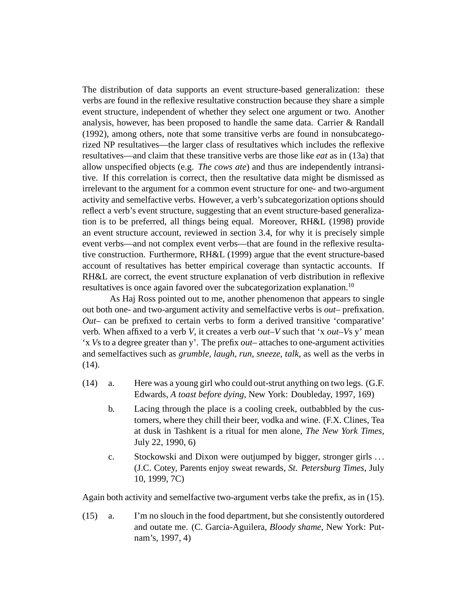The distribution of data supports an event structure-based generalization: these verbs are found in the reflexive resultative construction because they share a simple event structure, independent of whether they select one argument or two. Another analysis, however, has been proposed to handle the same data. Carrier & Randall (1992), among others, note that some transitive verbs are found in nonsubcategorized NP resultatives—the larger class of resultatives which includes the reflexive resultatives—and claim that these transitive verbs are those like *eat* as in (13a) that allow unspecified objects (e.g. *The cows ate*) and thus are independently intransitive. If this correlation is correct, then the resultative data might be dismissed as irrelevant to the argument for a common event structure for one- and two-argument activity and semelfactive verbs. However, a verb's subcategorization options should reflect a verb's event structure, suggesting that an event structure-based generalization is to be preferred, all things being equal. Moreover, RH&L (1998) provide an event structure account, reviewed in section 3.4, for why it is precisely simple event verbs—and not complex event verbs—that are found in the reflexive resultative construction. Furthermore, RH&L (1999) argue that the event structure-based account of resultatives has better empirical coverage than syntactic accounts. If RH&L are correct, the event structure explanation of verb distribution in reflexive resultatives is once again favored over the subcategorization explanation.<sup>10</sup>

As Haj Ross pointed out to me, another phenomenon that appears to single out both one- and two-argument activity and semelfactive verbs is *out*– prefixation. *Out*– can be prefixed to certain verbs to form a derived transitive 'comparative' verb. When affixed to a verb *V*, it creates a verb *out–V* such that 'x *out–V*s y' mean 'x *V*s to a degree greater than y'. The prefix *out*– attaches to one-argument activities and semelfactives such as *grumble, laugh, run, sneeze, talk*, as well as the verbs in (14).

- (14) a. Here was a young girl who could out-strut anything on two legs. (G.F. Edwards, *A toast before dying*, New York: Doubleday, 1997, 169)
	- b. Lacing through the place is a cooling creek, outbabbled by the customers, where they chill their beer, vodka and wine. (F.X. Clines, Tea at dusk in Tashkent is a ritual for men alone, *The New York Times*, July 22, 1990, 6)
	- c. Stockowski and Dixon were outjumped by bigger, stronger girls . . . (J.C. Cotey, Parents enjoy sweat rewards, *St. Petersburg Times*, July 10, 1999, 7C)

Again both activity and semelfactive two-argument verbs take the prefix, as in (15).

(15) a. I'm no slouch in the food department, but she consistently outordered and outate me. (C. Garcia-Aguilera, *Bloody shame*, New York: Putnam's, 1997, 4)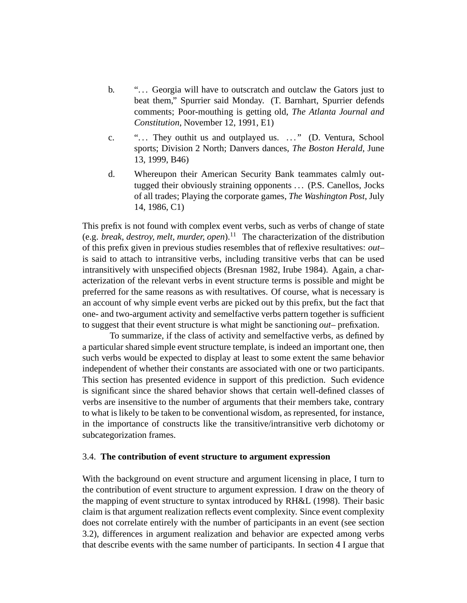- b. "... Georgia will have to outscratch and outclaw the Gators just to beat them," Spurrier said Monday. (T. Barnhart, Spurrier defends comments; Poor-mouthing is getting old, *The Atlanta Journal and Constitution*, November 12, 1991, E1)
- c. "... They outhit us and outplayed us. ..." (D. Ventura, School sports; Division 2 North; Danvers dances, *The Boston Herald*, June 13, 1999, B46)
- d. Whereupon their American Security Bank teammates calmly outtugged their obviously straining opponents ... (P.S. Canellos, Jocks of all trades; Playing the corporate games, *The Washington Post*, July 14, 1986, C1)

This prefix is not found with complex event verbs, such as verbs of change of state (e.g. *break, destroy, melt, murder, open*).<sup>11</sup> The characterization of the distribution of this prefix given in previous studies resembles that of reflexive resultatives: *out*– is said to attach to intransitive verbs, including transitive verbs that can be used intransitively with unspecified objects (Bresnan 1982, Irube 1984). Again, a characterization of the relevant verbs in event structure terms is possible and might be preferred for the same reasons as with resultatives. Of course, what is necessary is an account of why simple event verbs are picked out by this prefix, but the fact that one- and two-argument activity and semelfactive verbs pattern together is sufficient to suggest that their event structure is what might be sanctioning *out*– prefixation.

To summarize, if the class of activity and semelfactive verbs, as defined by a particular shared simple event structure template, is indeed an important one, then such verbs would be expected to display at least to some extent the same behavior independent of whether their constants are associated with one or two participants. This section has presented evidence in support of this prediction. Such evidence is significant since the shared behavior shows that certain well-defined classes of verbs are insensitive to the number of arguments that their members take, contrary to what is likely to be taken to be conventional wisdom, as represented, for instance, in the importance of constructs like the transitive/intransitive verb dichotomy or subcategorization frames.

## 3.4. **The contribution of event structure to argument expression**

With the background on event structure and argument licensing in place, I turn to the contribution of event structure to argument expression. I draw on the theory of the mapping of event structure to syntax introduced by RH&L (1998). Their basic claim is that argument realization reflects event complexity. Since event complexity does not correlate entirely with the number of participants in an event (see section 3.2), differences in argument realization and behavior are expected among verbs that describe events with the same number of participants. In section 4 I argue that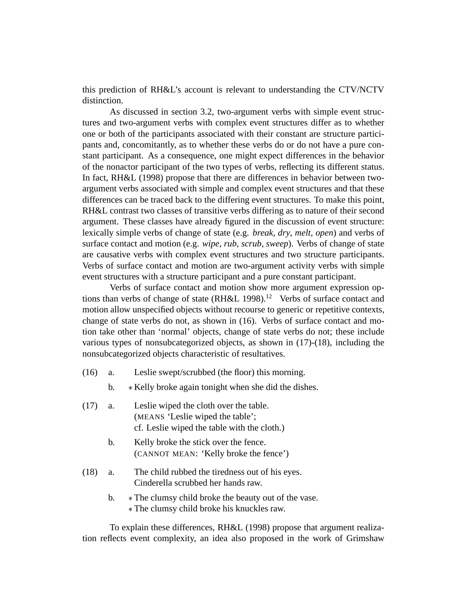this prediction of RH&L's account is relevant to understanding the CTV/NCTV distinction.

As discussed in section 3.2, two-argument verbs with simple event structures and two-argument verbs with complex event structures differ as to whether one or both of the participants associated with their constant are structure participants and, concomitantly, as to whether these verbs do or do not have a pure constant participant. As a consequence, one might expect differences in the behavior of the nonactor participant of the two types of verbs, reflecting its different status. In fact, RH&L (1998) propose that there are differences in behavior between twoargument verbs associated with simple and complex event structures and that these differences can be traced back to the differing event structures. To make this point, RH&L contrast two classes of transitive verbs differing as to nature of their second argument. These classes have already figured in the discussion of event structure: lexically simple verbs of change of state (e.g. *break*, *dry*, *melt*, *open*) and verbs of surface contact and motion (e.g. *wipe*, *rub*, *scrub*, *sweep*). Verbs of change of state are causative verbs with complex event structures and two structure participants. Verbs of surface contact and motion are two-argument activity verbs with simple event structures with a structure participant and a pure constant participant.

Verbs of surface contact and motion show more argument expression options than verbs of change of state  $(RH&L 1998).$ <sup>12</sup> Verbs of surface contact and motion allow unspecified objects without recourse to generic or repetitive contexts, change of state verbs do not, as shown in (16). Verbs of surface contact and motion take other than 'normal' objects, change of state verbs do not; these include various types of nonsubcategorized objects, as shown in (17)-(18), including the nonsubcategorized objects characteristic of resultatives.

- (16) a. Leslie swept/scrubbed (the floor) this morning.
	- b.  $\ast$  Kelly broke again tonight when she did the dishes.

| (17) | a. | Leslie wiped the cloth over the table.<br>(MEANS 'Leslie wiped the table';<br>cf. Leslie wiped the table with the cloth.) |
|------|----|---------------------------------------------------------------------------------------------------------------------------|
|      | b. | Kelly broke the stick over the fence.<br>(CANNOT MEAN: 'Kelly broke the fence')                                           |
| (18) | a. | The child rubbed the tiredness out of his eyes.<br>Cinderella scrubbed her hands raw.                                     |
|      | b. | * The clumsy child broke the beauty out of the vase.<br>* The clumsy child broke his knuckles raw.                        |

To explain these differences, RH&L (1998) propose that argument realization reflects event complexity, an idea also proposed in the work of Grimshaw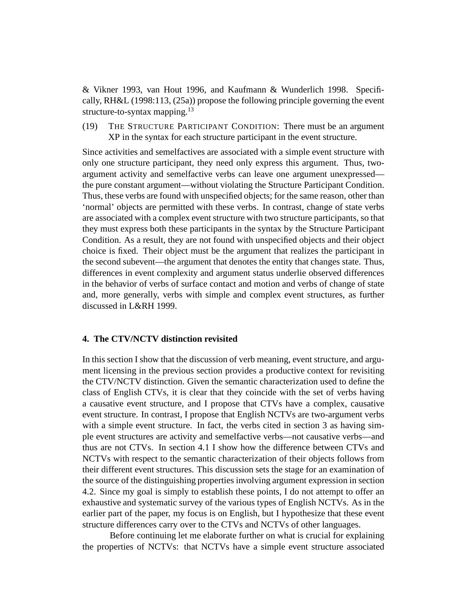& Vikner 1993, van Hout 1996, and Kaufmann & Wunderlich 1998. Specifically, RH&L (1998:113, (25a)) propose the following principle governing the event structure-to-syntax mapping.<sup>13</sup>

(19) THE STRUCTURE PARTICIPANT CONDITION: There must be an argument XP in the syntax for each structure participant in the event structure.

Since activities and semelfactives are associated with a simple event structure with only one structure participant, they need only express this argument. Thus, twoargument activity and semelfactive verbs can leave one argument unexpressed the pure constant argument—without violating the Structure Participant Condition. Thus, these verbs are found with unspecified objects; for the same reason, other than 'normal' objects are permitted with these verbs. In contrast, change of state verbs are associated with a complex event structure with two structure participants, so that they must express both these participants in the syntax by the Structure Participant Condition. As a result, they are not found with unspecified objects and their object choice is fixed. Their object must be the argument that realizes the participant in the second subevent—the argument that denotes the entity that changes state. Thus, differences in event complexity and argument status underlie observed differences in the behavior of verbs of surface contact and motion and verbs of change of state and, more generally, verbs with simple and complex event structures, as further discussed in L&RH 1999.

#### **4. The CTV/NCTV distinction revisited**

In this section I show that the discussion of verb meaning, event structure, and argument licensing in the previous section provides a productive context for revisiting the CTV/NCTV distinction. Given the semantic characterization used to define the class of English CTVs, it is clear that they coincide with the set of verbs having a causative event structure, and I propose that CTVs have a complex, causative event structure. In contrast, I propose that English NCTVs are two-argument verbs with a simple event structure. In fact, the verbs cited in section 3 as having simple event structures are activity and semelfactive verbs—not causative verbs—and thus are not CTVs. In section 4.1 I show how the difference between CTVs and NCTVs with respect to the semantic characterization of their objects follows from their different event structures. This discussion sets the stage for an examination of the source of the distinguishing properties involving argument expression in section 4.2. Since my goal is simply to establish these points, I do not attempt to offer an exhaustive and systematic survey of the various types of English NCTVs. As in the earlier part of the paper, my focus is on English, but I hypothesize that these event structure differences carry over to the CTVs and NCTVs of other languages.

Before continuing let me elaborate further on what is crucial for explaining the properties of NCTVs: that NCTVs have a simple event structure associated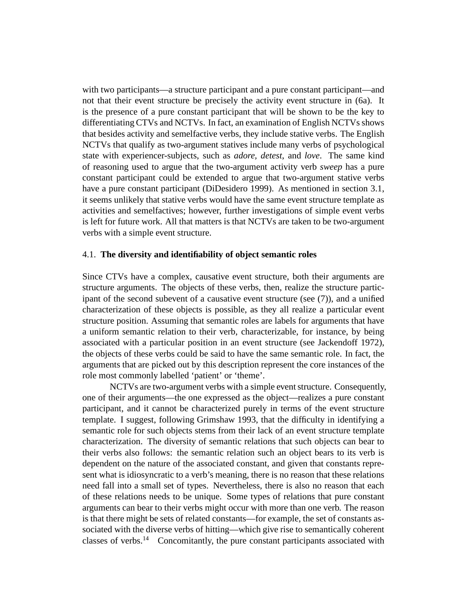with two participants—a structure participant and a pure constant participant—and not that their event structure be precisely the activity event structure in (6a). It is the presence of a pure constant participant that will be shown to be the key to differentiating CTVs and NCTVs. In fact, an examination of English NCTVs shows that besides activity and semelfactive verbs, they include stative verbs. The English NCTVs that qualify as two-argument statives include many verbs of psychological state with experiencer-subjects, such as *adore, detest*, and *love*. The same kind of reasoning used to argue that the two-argument activity verb *sweep* has a pure constant participant could be extended to argue that two-argument stative verbs have a pure constant participant (DiDesidero 1999). As mentioned in section 3.1, it seems unlikely that stative verbs would have the same event structure template as activities and semelfactives; however, further investigations of simple event verbs is left for future work. All that matters is that NCTVs are taken to be two-argument verbs with a simple event structure.

## 4.1. **The diversity and identifiability of object semantic roles**

Since CTVs have a complex, causative event structure, both their arguments are structure arguments. The objects of these verbs, then, realize the structure participant of the second subevent of a causative event structure (see (7)), and a unified characterization of these objects is possible, as they all realize a particular event structure position. Assuming that semantic roles are labels for arguments that have a uniform semantic relation to their verb, characterizable, for instance, by being associated with a particular position in an event structure (see Jackendoff 1972), the objects of these verbs could be said to have the same semantic role. In fact, the arguments that are picked out by this description represent the core instances of the role most commonly labelled 'patient' or 'theme'.

NCTVs are two-argument verbs with a simple event structure. Consequently, one of their arguments—the one expressed as the object—realizes a pure constant participant, and it cannot be characterized purely in terms of the event structure template. I suggest, following Grimshaw 1993, that the difficulty in identifying a semantic role for such objects stems from their lack of an event structure template characterization. The diversity of semantic relations that such objects can bear to their verbs also follows: the semantic relation such an object bears to its verb is dependent on the nature of the associated constant, and given that constants represent what is idiosyncratic to a verb's meaning, there is no reason that these relations need fall into a small set of types. Nevertheless, there is also no reason that each of these relations needs to be unique. Some types of relations that pure constant arguments can bear to their verbs might occur with more than one verb. The reason is that there might be sets of related constants—for example, the set of constants associated with the diverse verbs of hitting—which give rise to semantically coherent classes of verbs.<sup>14</sup> Concomitantly, the pure constant participants associated with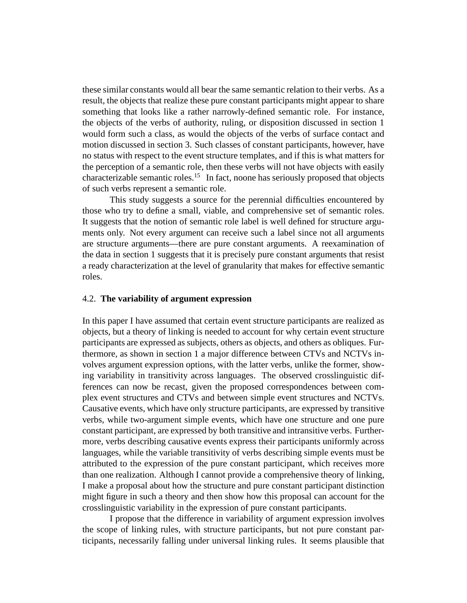these similar constants would all bear the same semantic relation to their verbs. As a result, the objects that realize these pure constant participants might appear to share something that looks like a rather narrowly-defined semantic role. For instance, the objects of the verbs of authority, ruling, or disposition discussed in section 1 would form such a class, as would the objects of the verbs of surface contact and motion discussed in section 3. Such classes of constant participants, however, have no status with respect to the event structure templates, and if this is what matters for the perception of a semantic role, then these verbs will not have objects with easily characterizable semantic roles.<sup>15</sup> In fact, noone has seriously proposed that objects of such verbs represent a semantic role.

This study suggests a source for the perennial difficulties encountered by those who try to define a small, viable, and comprehensive set of semantic roles. It suggests that the notion of semantic role label is well defined for structure arguments only. Not every argument can receive such a label since not all arguments are structure arguments—there are pure constant arguments. A reexamination of the data in section 1 suggests that it is precisely pure constant arguments that resist a ready characterization at the level of granularity that makes for effective semantic roles.

## 4.2. **The variability of argument expression**

In this paper I have assumed that certain event structure participants are realized as objects, but a theory of linking is needed to account for why certain event structure participants are expressed as subjects, others as objects, and others as obliques. Furthermore, as shown in section 1 a major difference between CTVs and NCTVs involves argument expression options, with the latter verbs, unlike the former, showing variability in transitivity across languages. The observed crosslinguistic differences can now be recast, given the proposed correspondences between complex event structures and CTVs and between simple event structures and NCTVs. Causative events, which have only structure participants, are expressed by transitive verbs, while two-argument simple events, which have one structure and one pure constant participant, are expressed by both transitive and intransitive verbs. Furthermore, verbs describing causative events express their participants uniformly across languages, while the variable transitivity of verbs describing simple events must be attributed to the expression of the pure constant participant, which receives more than one realization. Although I cannot provide a comprehensive theory of linking, I make a proposal about how the structure and pure constant participant distinction might figure in such a theory and then show how this proposal can account for the crosslinguistic variability in the expression of pure constant participants.

I propose that the difference in variability of argument expression involves the scope of linking rules, with structure participants, but not pure constant participants, necessarily falling under universal linking rules. It seems plausible that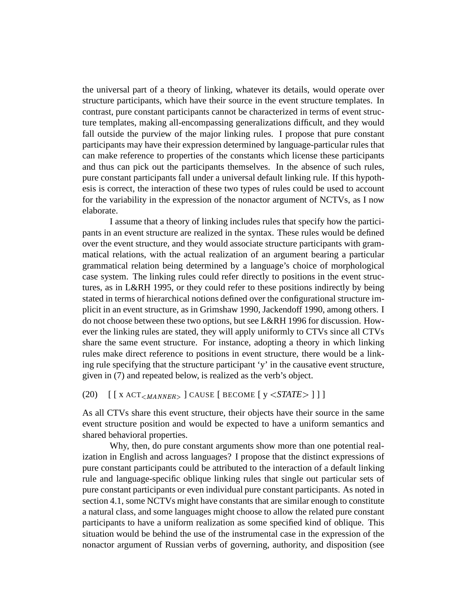the universal part of a theory of linking, whatever its details, would operate over structure participants, which have their source in the event structure templates. In contrast, pure constant participants cannot be characterized in terms of event structure templates, making all-encompassing generalizations difficult, and they would fall outside the purview of the major linking rules. I propose that pure constant participants may have their expression determined by language-particular rules that can make reference to properties of the constants which license these participants and thus can pick out the participants themselves. In the absence of such rules, pure constant participants fall under a universal default linking rule. If this hypothesis is correct, the interaction of these two types of rules could be used to account for the variability in the expression of the nonactor argument of NCTVs, as I now elaborate.

I assume that a theory of linking includes rules that specify how the participants in an event structure are realized in the syntax. These rules would be defined over the event structure, and they would associate structure participants with grammatical relations, with the actual realization of an argument bearing a particular grammatical relation being determined by a language's choice of morphological case system. The linking rules could refer directly to positions in the event structures, as in L&RH 1995, or they could refer to these positions indirectly by being stated in terms of hierarchical notions defined over the configurational structure implicit in an event structure, as in Grimshaw 1990, Jackendoff 1990, among others. I do not choose between these two options, but see L&RH 1996 for discussion. However the linking rules are stated, they will apply uniformly to CTVs since all CTVs share the same event structure. For instance, adopting a theory in which linking rules make direct reference to positions in event structure, there would be a linking rule specifying that the structure participant 'y' in the causative event structure, given in (7) and repeated below, is realized as the verb's object.

# (20)  $\left[ \left[ \text{X ACT}_{\leq MANNER} \right] \right]$  CAUSE  $\left[ \text{BECOME} \left[ \text{Y } \leq \text{STATE} \right] \right]$

As all CTVs share this event structure, their objects have their source in the same event structure position and would be expected to have a uniform semantics and shared behavioral properties.

Why, then, do pure constant arguments show more than one potential realization in English and across languages? I propose that the distinct expressions of pure constant participants could be attributed to the interaction of a default linking rule and language-specific oblique linking rules that single out particular sets of pure constant participants or even individual pure constant participants. As noted in section 4.1, some NCTVs might have constants that are similar enough to constitute a natural class, and some languages might choose to allow the related pure constant participants to have a uniform realization as some specified kind of oblique. This situation would be behind the use of the instrumental case in the expression of the nonactor argument of Russian verbs of governing, authority, and disposition (see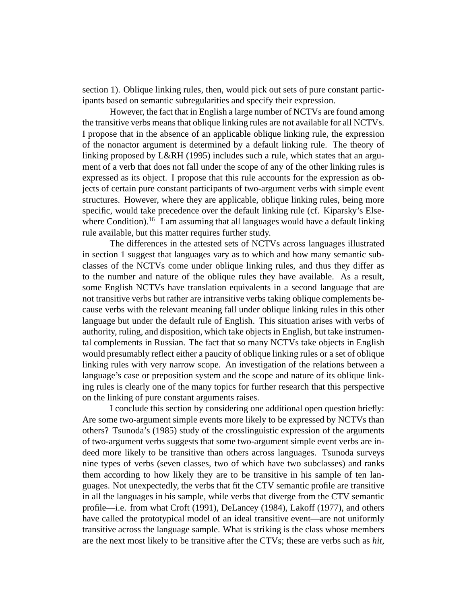section 1). Oblique linking rules, then, would pick out sets of pure constant participants based on semantic subregularities and specify their expression.

However, the fact that in English a large number of NCTVs are found among the transitive verbs means that oblique linking rules are not available for all NCTVs. I propose that in the absence of an applicable oblique linking rule, the expression of the nonactor argument is determined by a default linking rule. The theory of linking proposed by L&RH (1995) includes such a rule, which states that an argument of a verb that does not fall under the scope of any of the other linking rules is expressed as its object. I propose that this rule accounts for the expression as objects of certain pure constant participants of two-argument verbs with simple event structures. However, where they are applicable, oblique linking rules, being more specific, would take precedence over the default linking rule (cf. Kiparsky's Elsewhere Condition).<sup>16</sup> I am assuming that all languages would have a default linking rule available, but this matter requires further study.

The differences in the attested sets of NCTVs across languages illustrated in section 1 suggest that languages vary as to which and how many semantic subclasses of the NCTVs come under oblique linking rules, and thus they differ as to the number and nature of the oblique rules they have available. As a result, some English NCTVs have translation equivalents in a second language that are not transitive verbs but rather are intransitive verbs taking oblique complements because verbs with the relevant meaning fall under oblique linking rules in this other language but under the default rule of English. This situation arises with verbs of authority, ruling, and disposition, which take objects in English, but take instrumental complements in Russian. The fact that so many NCTVs take objects in English would presumably reflect either a paucity of oblique linking rules or a set of oblique linking rules with very narrow scope. An investigation of the relations between a language's case or preposition system and the scope and nature of its oblique linking rules is clearly one of the many topics for further research that this perspective on the linking of pure constant arguments raises.

I conclude this section by considering one additional open question briefly: Are some two-argument simple events more likely to be expressed by NCTVs than others? Tsunoda's (1985) study of the crosslinguistic expression of the arguments of two-argument verbs suggests that some two-argument simple event verbs are indeed more likely to be transitive than others across languages. Tsunoda surveys nine types of verbs (seven classes, two of which have two subclasses) and ranks them according to how likely they are to be transitive in his sample of ten languages. Not unexpectedly, the verbs that fit the CTV semantic profile are transitive in all the languages in his sample, while verbs that diverge from the CTV semantic profile—i.e. from what Croft (1991), DeLancey (1984), Lakoff (1977), and others have called the prototypical model of an ideal transitive event—are not uniformly transitive across the language sample. What is striking is the class whose members are the next most likely to be transitive after the CTVs; these are verbs such as *hit,*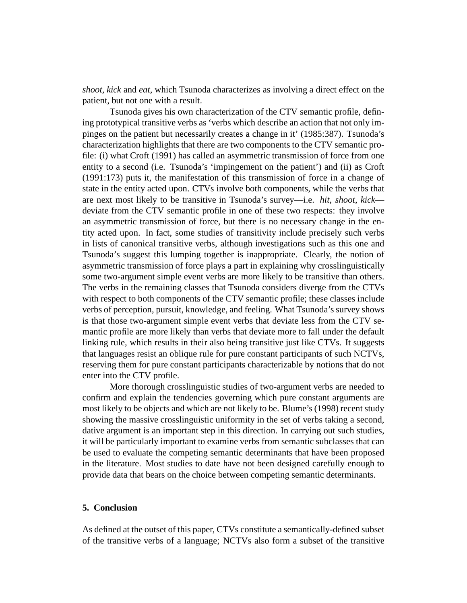*shoot, kick* and *eat*, which Tsunoda characterizes as involving a direct effect on the patient, but not one with a result.

Tsunoda gives his own characterization of the CTV semantic profile, defining prototypical transitive verbs as 'verbs which describe an action that not only impinges on the patient but necessarily creates a change in it' (1985:387). Tsunoda's characterization highlights that there are two components to the CTV semantic profile: (i) what Croft (1991) has called an asymmetric transmission of force from one entity to a second (i.e. Tsunoda's 'impingement on the patient') and (ii) as Croft (1991:173) puts it, the manifestation of this transmission of force in a change of state in the entity acted upon. CTVs involve both components, while the verbs that are next most likely to be transitive in Tsunoda's survey—i.e. *hit*, *shoot*, *kick* deviate from the CTV semantic profile in one of these two respects: they involve an asymmetric transmission of force, but there is no necessary change in the entity acted upon. In fact, some studies of transitivity include precisely such verbs in lists of canonical transitive verbs, although investigations such as this one and Tsunoda's suggest this lumping together is inappropriate. Clearly, the notion of asymmetric transmission of force plays a part in explaining why crosslinguistically some two-argument simple event verbs are more likely to be transitive than others. The verbs in the remaining classes that Tsunoda considers diverge from the CTVs with respect to both components of the CTV semantic profile; these classes include verbs of perception, pursuit, knowledge, and feeling. What Tsunoda's survey shows is that those two-argument simple event verbs that deviate less from the CTV semantic profile are more likely than verbs that deviate more to fall under the default linking rule, which results in their also being transitive just like CTVs. It suggests that languages resist an oblique rule for pure constant participants of such NCTVs, reserving them for pure constant participants characterizable by notions that do not enter into the CTV profile.

More thorough crosslinguistic studies of two-argument verbs are needed to confirm and explain the tendencies governing which pure constant arguments are most likely to be objects and which are not likely to be. Blume's (1998) recent study showing the massive crosslinguistic uniformity in the set of verbs taking a second, dative argument is an important step in this direction. In carrying out such studies, it will be particularly important to examine verbs from semantic subclasses that can be used to evaluate the competing semantic determinants that have been proposed in the literature. Most studies to date have not been designed carefully enough to provide data that bears on the choice between competing semantic determinants.

# **5. Conclusion**

As defined at the outset of this paper, CTVs constitute a semantically-defined subset of the transitive verbs of a language; NCTVs also form a subset of the transitive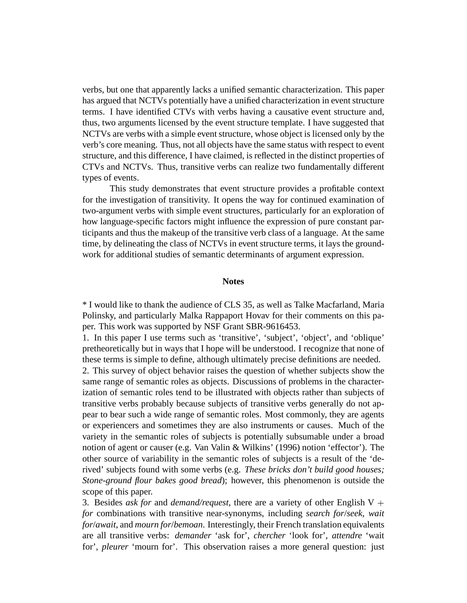verbs, but one that apparently lacks a unified semantic characterization. This paper has argued that NCTVs potentially have a unified characterization in event structure terms. I have identified CTVs with verbs having a causative event structure and, thus, two arguments licensed by the event structure template. I have suggested that NCTVs are verbs with a simple event structure, whose object is licensed only by the verb's core meaning. Thus, not all objects have the same status with respect to event structure, and this difference, I have claimed, is reflected in the distinct properties of CTVs and NCTVs. Thus, transitive verbs can realize two fundamentally different types of events.

This study demonstrates that event structure provides a profitable context for the investigation of transitivity. It opens the way for continued examination of two-argument verbs with simple event structures, particularly for an exploration of how language-specific factors might influence the expression of pure constant participants and thus the makeup of the transitive verb class of a language. At the same time, by delineating the class of NCTVs in event structure terms, it lays the groundwork for additional studies of semantic determinants of argument expression.

#### **Notes**

\* I would like to thank the audience of CLS 35, as well as Talke Macfarland, Maria Polinsky, and particularly Malka Rappaport Hovav for their comments on this paper. This work was supported by NSF Grant SBR-9616453.

1. In this paper I use terms such as 'transitive', 'subject', 'object', and 'oblique' pretheoretically but in ways that I hope will be understood. I recognize that none of these terms is simple to define, although ultimately precise definitions are needed.

2. This survey of object behavior raises the question of whether subjects show the same range of semantic roles as objects. Discussions of problems in the characterization of semantic roles tend to be illustrated with objects rather than subjects of transitive verbs probably because subjects of transitive verbs generally do not appear to bear such a wide range of semantic roles. Most commonly, they are agents or experiencers and sometimes they are also instruments or causes. Much of the variety in the semantic roles of subjects is potentially subsumable under a broad notion of agent or causer (e.g. Van Valin & Wilkins' (1996) notion 'effector'). The other source of variability in the semantic roles of subjects is a result of the 'derived' subjects found with some verbs (e.g. *These bricks don't build good houses; Stone-ground flour bakes good bread*); however, this phenomenon is outside the scope of this paper.

3. Besides *ask for* and *demand/request*, there are a variety of other English V + *for* combinations with transitive near-synonyms, including *search for*/*seek*, *wait for*/*await*, and *mourn for*/*bemoan*. Interestingly, their French translation equivalents are all transitive verbs: *demander* 'ask for', *chercher* 'look for', *attendre* 'wait for', *pleurer* 'mourn for'. This observation raises a more general question: just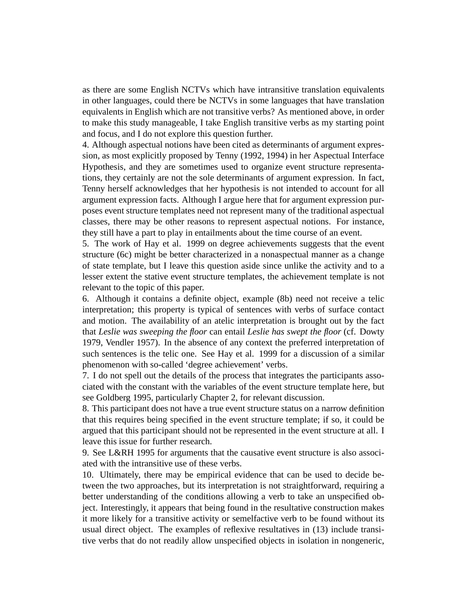as there are some English NCTVs which have intransitive translation equivalents in other languages, could there be NCTVs in some languages that have translation equivalents in English which are not transitive verbs? As mentioned above, in order to make this study manageable, I take English transitive verbs as my starting point and focus, and I do not explore this question further.

4. Although aspectual notions have been cited as determinants of argument expression, as most explicitly proposed by Tenny (1992, 1994) in her Aspectual Interface Hypothesis, and they are sometimes used to organize event structure representations, they certainly are not the sole determinants of argument expression. In fact, Tenny herself acknowledges that her hypothesis is not intended to account for all argument expression facts. Although I argue here that for argument expression purposes event structure templates need not represent many of the traditional aspectual classes, there may be other reasons to represent aspectual notions. For instance, they still have a part to play in entailments about the time course of an event.

5. The work of Hay et al. 1999 on degree achievements suggests that the event structure (6c) might be better characterized in a nonaspectual manner as a change of state template, but I leave this question aside since unlike the activity and to a lesser extent the stative event structure templates, the achievement template is not relevant to the topic of this paper.

6. Although it contains a definite object, example (8b) need not receive a telic interpretation; this property is typical of sentences with verbs of surface contact and motion. The availability of an atelic interpretation is brought out by the fact that *Leslie was sweeping the floor* can entail *Leslie has swept the floor* (cf. Dowty 1979, Vendler 1957). In the absence of any context the preferred interpretation of such sentences is the telic one. See Hay et al. 1999 for a discussion of a similar phenomenon with so-called 'degree achievement' verbs.

7. I do not spell out the details of the process that integrates the participants associated with the constant with the variables of the event structure template here, but see Goldberg 1995, particularly Chapter 2, for relevant discussion.

8. This participant does not have a true event structure status on a narrow definition that this requires being specified in the event structure template; if so, it could be argued that this participant should not be represented in the event structure at all. I leave this issue for further research.

9. See L&RH 1995 for arguments that the causative event structure is also associated with the intransitive use of these verbs.

10. Ultimately, there may be empirical evidence that can be used to decide between the two approaches, but its interpretation is not straightforward, requiring a better understanding of the conditions allowing a verb to take an unspecified object. Interestingly, it appears that being found in the resultative construction makes it more likely for a transitive activity or semelfactive verb to be found without its usual direct object. The examples of reflexive resultatives in (13) include transitive verbs that do not readily allow unspecified objects in isolation in nongeneric,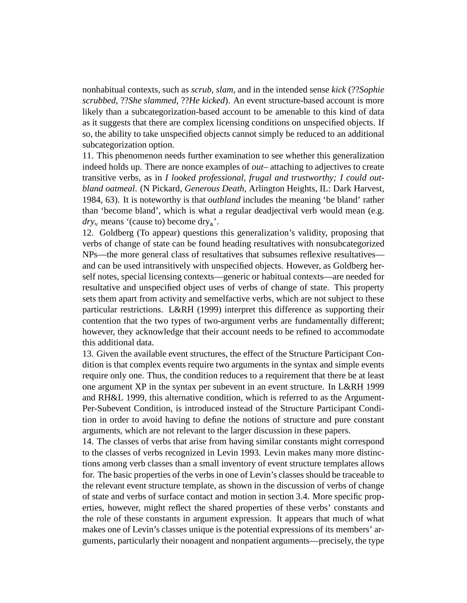nonhabitual contexts, such as *scrub*, *slam*, and in the intended sense *kick* (??*Sophie scrubbed*, ??*She slammed*, ??*He kicked*). An event structure-based account is more likely than a subcategorization-based account to be amenable to this kind of data as it suggests that there are complex licensing conditions on unspecified objects. If so, the ability to take unspecified objects cannot simply be reduced to an additional subcategorization option.

11. This phenomenon needs further examination to see whether this generalization indeed holds up. There are nonce examples of *out*– attaching to adjectives to create transitive verbs, as in *I looked professional, frugal and trustworthy; I could outbland oatmeal*. (N Pickard, *Generous Death*, Arlington Heights, IL: Dark Harvest, 1984, 63). It is noteworthy is that *outbland* includes the meaning 'be bland' rather than 'become bland', which is what a regular deadjectival verb would mean (e.g.  $\frac{dy}{dx}$  means '(cause to) become dry<sub>a</sub>'.

12. Goldberg (To appear) questions this generalization's validity, proposing that verbs of change of state can be found heading resultatives with nonsubcategorized NPs—the more general class of resultatives that subsumes reflexive resultatives and can be used intransitively with unspecified objects. However, as Goldberg herself notes, special licensing contexts—generic or habitual contexts—are needed for resultative and unspecified object uses of verbs of change of state. This property sets them apart from activity and semelfactive verbs, which are not subject to these particular restrictions. L&RH (1999) interpret this difference as supporting their contention that the two types of two-argument verbs are fundamentally different; however, they acknowledge that their account needs to be refined to accommodate this additional data.

13. Given the available event structures, the effect of the Structure Participant Condition is that complex events require two arguments in the syntax and simple events require only one. Thus, the condition reduces to a requirement that there be at least one argument XP in the syntax per subevent in an event structure. In L&RH 1999 and RH&L 1999, this alternative condition, which is referred to as the Argument-Per-Subevent Condition, is introduced instead of the Structure Participant Condition in order to avoid having to define the notions of structure and pure constant arguments, which are not relevant to the larger discussion in these papers.

14. The classes of verbs that arise from having similar constants might correspond to the classes of verbs recognized in Levin 1993. Levin makes many more distinctions among verb classes than a small inventory of event structure templates allows for. The basic properties of the verbs in one of Levin's classes should be traceable to the relevant event structure template, as shown in the discussion of verbs of change of state and verbs of surface contact and motion in section 3.4. More specific properties, however, might reflect the shared properties of these verbs' constants and the role of these constants in argument expression. It appears that much of what makes one of Levin's classes unique is the potential expressions of its members' arguments, particularly their nonagent and nonpatient arguments—precisely, the type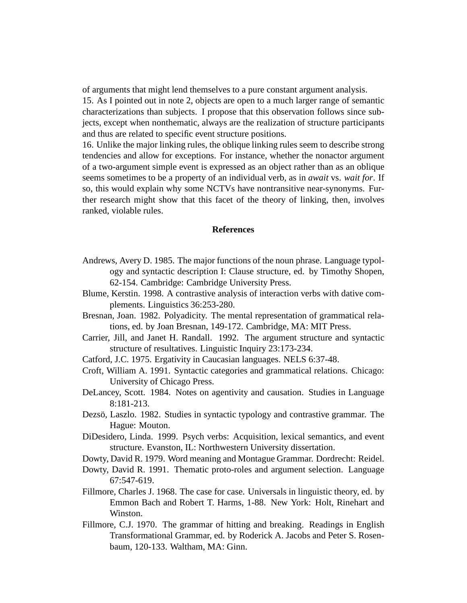of arguments that might lend themselves to a pure constant argument analysis.

15. As I pointed out in note 2, objects are open to a much larger range of semantic characterizations than subjects. I propose that this observation follows since subjects, except when nonthematic, always are the realization of structure participants and thus are related to specific event structure positions.

16. Unlike the major linking rules, the oblique linking rules seem to describe strong tendencies and allow for exceptions. For instance, whether the nonactor argument of a two-argument simple event is expressed as an object rather than as an oblique seems sometimes to be a property of an individual verb, as in *await* vs. *wait for*. If so, this would explain why some NCTVs have nontransitive near-synonyms. Further research might show that this facet of the theory of linking, then, involves ranked, violable rules.

#### **References**

- Andrews, Avery D. 1985. The major functions of the noun phrase. Language typology and syntactic description I: Clause structure, ed. by Timothy Shopen, 62-154. Cambridge: Cambridge University Press.
- Blume, Kerstin. 1998. A contrastive analysis of interaction verbs with dative complements. Linguistics 36:253-280.
- Bresnan, Joan. 1982. Polyadicity. The mental representation of grammatical relations, ed. by Joan Bresnan, 149-172. Cambridge, MA: MIT Press.
- Carrier, Jill, and Janet H. Randall. 1992. The argument structure and syntactic structure of resultatives. Linguistic Inquiry 23:173-234.
- Catford, J.C. 1975. Ergativity in Caucasian languages. NELS 6:37-48.
- Croft, William A. 1991. Syntactic categories and grammatical relations. Chicago: University of Chicago Press.
- DeLancey, Scott. 1984. Notes on agentivity and causation. Studies in Language 8:181-213.
- Dezsö, Laszlo. 1982. Studies in syntactic typology and contrastive grammar. The Hague: Mouton.
- DiDesidero, Linda. 1999. Psych verbs: Acquisition, lexical semantics, and event structure. Evanston, IL: Northwestern University dissertation.
- Dowty, David R. 1979. Word meaning and Montague Grammar. Dordrecht: Reidel.
- Dowty, David R. 1991. Thematic proto-roles and argument selection. Language 67:547-619.
- Fillmore, Charles J. 1968. The case for case. Universals in linguistic theory, ed. by Emmon Bach and Robert T. Harms, 1-88. New York: Holt, Rinehart and Winston.
- Fillmore, C.J. 1970. The grammar of hitting and breaking. Readings in English Transformational Grammar, ed. by Roderick A. Jacobs and Peter S. Rosenbaum, 120-133. Waltham, MA: Ginn.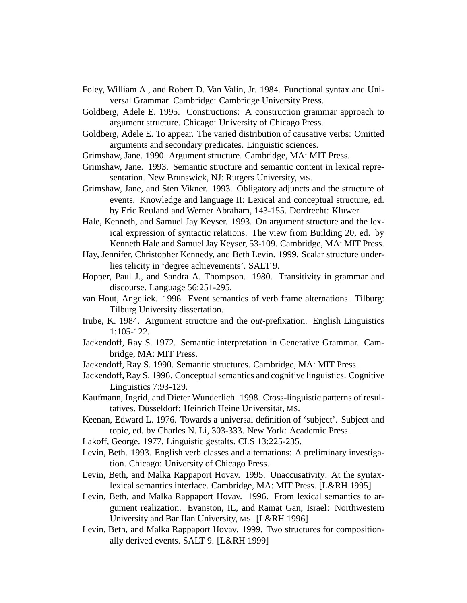- Foley, William A., and Robert D. Van Valin, Jr. 1984. Functional syntax and Universal Grammar. Cambridge: Cambridge University Press.
- Goldberg, Adele E. 1995. Constructions: A construction grammar approach to argument structure. Chicago: University of Chicago Press.
- Goldberg, Adele E. To appear. The varied distribution of causative verbs: Omitted arguments and secondary predicates. Linguistic sciences.
- Grimshaw, Jane. 1990. Argument structure. Cambridge, MA: MIT Press.
- Grimshaw, Jane. 1993. Semantic structure and semantic content in lexical representation. New Brunswick, NJ: Rutgers University, MS.
- Grimshaw, Jane, and Sten Vikner. 1993. Obligatory adjuncts and the structure of events. Knowledge and language II: Lexical and conceptual structure, ed. by Eric Reuland and Werner Abraham, 143-155. Dordrecht: Kluwer.
- Hale, Kenneth, and Samuel Jay Keyser. 1993. On argument structure and the lexical expression of syntactic relations. The view from Building 20, ed. by Kenneth Hale and Samuel Jay Keyser, 53-109. Cambridge, MA: MIT Press.
- Hay, Jennifer, Christopher Kennedy, and Beth Levin. 1999. Scalar structure underlies telicity in 'degree achievements'. SALT 9.
- Hopper, Paul J., and Sandra A. Thompson. 1980. Transitivity in grammar and discourse. Language 56:251-295.
- van Hout, Angeliek. 1996. Event semantics of verb frame alternations. Tilburg: Tilburg University dissertation.
- Irube, K. 1984. Argument structure and the *out*-prefixation. English Linguistics 1:105-122.
- Jackendoff, Ray S. 1972. Semantic interpretation in Generative Grammar. Cambridge, MA: MIT Press.
- Jackendoff, Ray S. 1990. Semantic structures. Cambridge, MA: MIT Press.
- Jackendoff, Ray S. 1996. Conceptual semantics and cognitive linguistics. Cognitive Linguistics 7:93-129.
- Kaufmann, Ingrid, and Dieter Wunderlich. 1998. Cross-linguistic patterns of resultatives. Düsseldorf: Heinrich Heine Universität, MS.
- Keenan, Edward L. 1976. Towards a universal definition of 'subject'. Subject and topic, ed. by Charles N. Li, 303-333. New York: Academic Press.
- Lakoff, George. 1977. Linguistic gestalts. CLS 13:225-235.
- Levin, Beth. 1993. English verb classes and alternations: A preliminary investigation. Chicago: University of Chicago Press.
- Levin, Beth, and Malka Rappaport Hovav. 1995. Unaccusativity: At the syntaxlexical semantics interface. Cambridge, MA: MIT Press. [L&RH 1995]
- Levin, Beth, and Malka Rappaport Hovav. 1996. From lexical semantics to argument realization. Evanston, IL, and Ramat Gan, Israel: Northwestern University and Bar Ilan University, MS. [L&RH 1996]
- Levin, Beth, and Malka Rappaport Hovav. 1999. Two structures for compositionally derived events. SALT 9. [L&RH 1999]